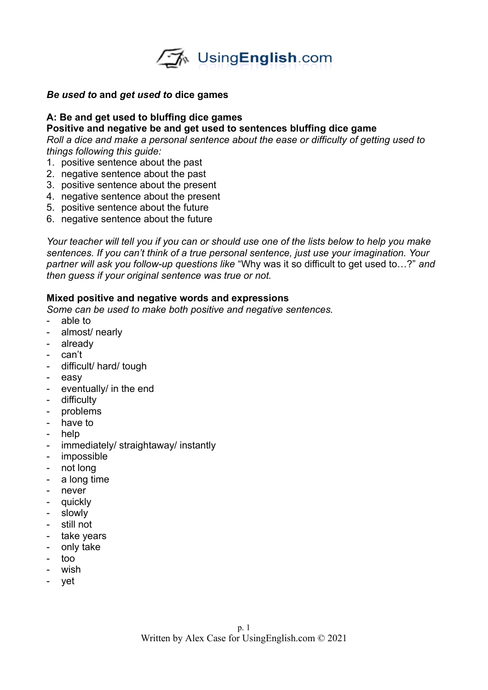

### *Be used to* **and** *get used to* **dice games**

### **A: Be and get used to bluffing dice games**

#### **Positive and negative be and get used to sentences bluffing dice game**

*Roll a dice and make a personal sentence about the ease or difficulty of getting used to things following this guide:*

- 1. positive sentence about the past
- 2. negative sentence about the past
- 3. positive sentence about the present
- 4. negative sentence about the present
- 5. positive sentence about the future
- 6. negative sentence about the future

*Your teacher will tell you if you can or should use one of the lists below to help you make sentences. If you can't think of a true personal sentence, just use your imagination. Your partner will ask you follow-up questions like* "Why was it so difficult to get used to…?" *and then guess if your original sentence was true or not.* 

## **Mixed positive and negative words and expressions**

*Some can be used to make both positive and negative sentences.* 

- able to
- almost/ nearly
- already
- can't
- difficult/ hard/ tough
- easy
- eventually/ in the end
- difficulty
- problems
- have to
- help
- immediately/ straightaway/ instantly
- impossible
- not long
- a long time
- never
- quickly
- slowly
- still not
- take years
- only take
- too
- wish
- yet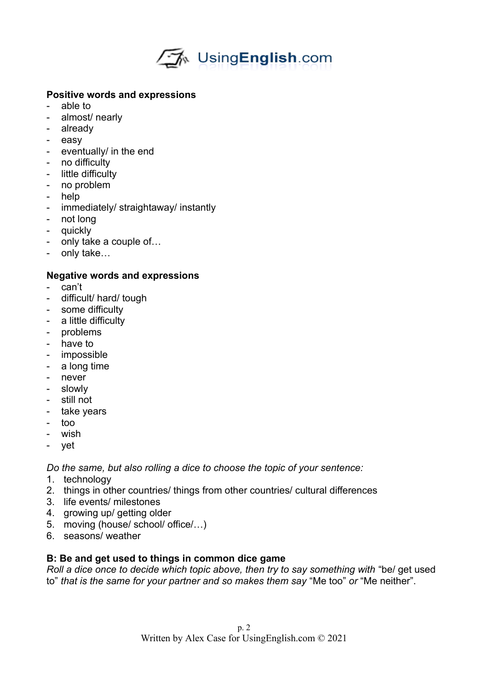

# **Positive words and expressions**

- able to
- almost/ nearly
- already
- easy
- eventually/ in the end
- no difficulty
- little difficulty
- no problem
- help
- immediately/ straightaway/ instantly
- not long
- quickly
- only take a couple of…
- only take…

# **Negative words and expressions**

- can't
- difficult/ hard/ tough
- some difficulty
- a little difficulty
- problems
- have to
- impossible
- a long time
- never
- slowly
- still not
- take years
- too
- wish
- vet

*Do the same, but also rolling a dice to choose the topic of your sentence:*

- 1. technology
- 2. things in other countries/ things from other countries/ cultural differences
- 3. life events/ milestones
- 4. growing up/ getting older
- 5. moving (house/ school/ office/…)
- 6. seasons/ weather

# **B: Be and get used to things in common dice game**

*Roll a dice once to decide which topic above, then try to say something with* "be/ get used to" *that is the same for your partner and so makes them say* "Me too" *or* "Me neither".